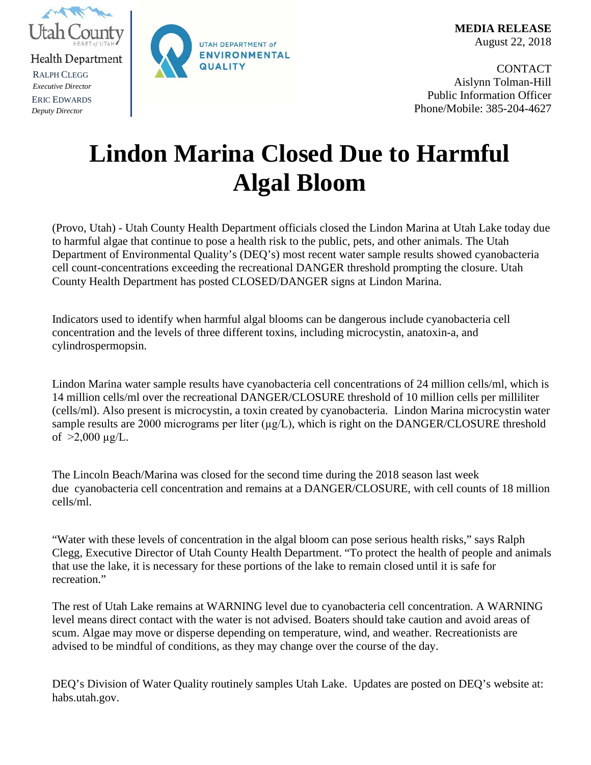

RALPH CLEGG *Executive Director* ERIC EDWARDS *Deputy Director*



**CONTACT** Aislynn Tolman-Hill Public Information Officer Phone/Mobile: 385-204-4627

## **Lindon Marina Closed Due to Harmful Algal Bloom**

(Provo, Utah) - Utah County Health Department officials closed the Lindon Marina at Utah Lake today due to harmful algae that continue to pose a health risk to the public, pets, and other animals. The Utah Department of Environmental Quality's (DEQ's) most recent water sample results showed cyanobacteria cell count-concentrations exceeding the recreational DANGER threshold prompting the closure. Utah County Health Department has posted CLOSED/DANGER signs at Lindon Marina.

Indicators used to identify when harmful algal blooms can be dangerous include cyanobacteria cell concentration and the levels of three different toxins, including microcystin, anatoxin-a, and cylindrospermopsin.

Lindon Marina water sample results have cyanobacteria cell concentrations of 24 million cells/ml, which is 14 million cells/ml over the recreational DANGER/CLOSURE threshold of 10 million cells per milliliter (cells/ml). Also present is microcystin, a toxin created by cyanobacteria. Lindon Marina microcystin water sample results are 2000 micrograms per liter  $(\mu g/L)$ , which is right on the DANGER/CLOSURE threshold of  $>2,000 \mu g/L$ .

The Lincoln Beach/Marina was closed for the second time during the 2018 season last week due cyanobacteria cell concentration and remains at a DANGER/CLOSURE, with cell counts of 18 million cells/ml.

"Water with these levels of concentration in the algal bloom can pose serious health risks," says Ralph Clegg, Executive Director of Utah County Health Department. "To protect the health of people and animals that use the lake, it is necessary for these portions of the lake to remain closed until it is safe for recreation."

The rest of Utah Lake remains at WARNING level due to cyanobacteria cell concentration. A WARNING level means direct contact with the water is not advised. Boaters should take caution and avoid areas of scum. Algae may move or disperse depending on temperature, wind, and weather. Recreationists are advised to be mindful of conditions, as they may change over the course of the day.

DEQ's Division of Water Quality routinely samples Utah Lake. Updates are posted on DEQ's website at: habs.utah.gov.